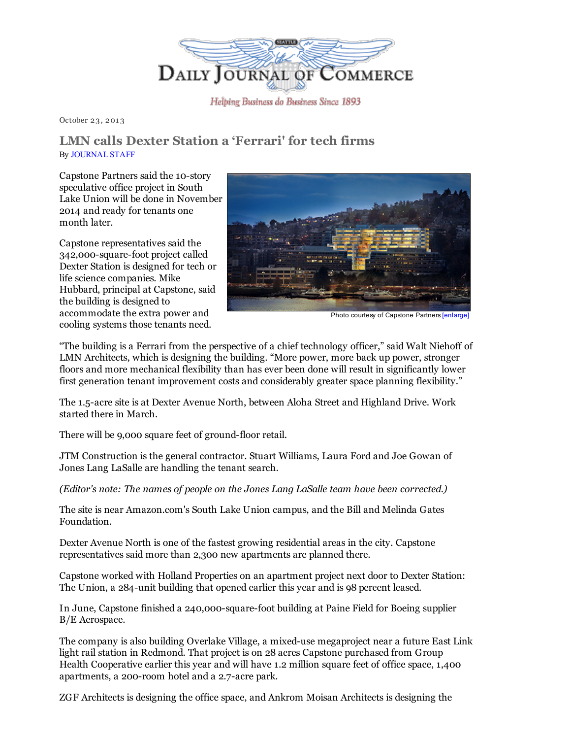

October 23, 201 3

## LMN calls Dexter Station a 'Ferrari' for tech firms By [JOURNAL](mailto:maudes@djc.com) STAFF

Capstone Partners said the 10-story speculative office project in South Lake Union will be done in November 2014 and ready for tenants one month later.

Capstone representatives said the 342,000-square-foot project called Dexter Station is designed for tech or life science companies. Mike Hubbard, principal at Capstone, said the building is designed to accommodate the extra power and cooling systems those tenants need.



Photo courtesy of [Capstone](http://www.djc.com/stories/images/20131023/Dexter%20Station_big.jpg) Partners [\[enlarge\]](http://www.djc.com/stories/images/20131023/Dexter%20Station_big.jpg)

"The building is a Ferrari from the perspective of a chief technology officer," said Walt Niehoff of LMN Architects, which is designing the building. "More power, more back up power, stronger floors and more mechanical flexibility than has ever been done will result in significantly lower first generation tenant improvement costs and considerably greater space planning flexibility."

The 1.5-acre site is at Dexter Avenue North, between Aloha Street and Highland Drive. Work started there in March.

There will be 9,000 square feet of ground-floor retail.

JTM Construction is the general contractor. Stuart Williams, Laura Ford and Joe Gowan of Jones Lang LaSalle are handling the tenant search.

*(Editor's note: The names of people on the Jones Lang LaSalle team have been corrected.)*

The site is near Amazon.com's South Lake Union campus, and the Bill and Melinda Gates Foundation.

Dexter Avenue North is one of the fastest growing residential areas in the city. Capstone representatives said more than 2,300 new apartments are planned there.

Capstone worked with Holland Properties on an apartment project next door to Dexter Station: The Union, a 284-unit building that opened earlier this year and is 98 percent leased.

In June, Capstone finished a 240,000-square-foot building at Paine Field for Boeing supplier B/E Aerospace.

The company is also building Overlake Village, a mixed-use megaproject near a future East Link light rail station in Redmond. That project is on 28 acres Capstone purchased from Group Health Cooperative earlier this year and will have 1.2 million square feet of office space, 1,400 apartments, a 200-room hotel and a 2.7-acre park.

ZGF Architects is designing the office space, and Ankrom Moisan Architects is designing the